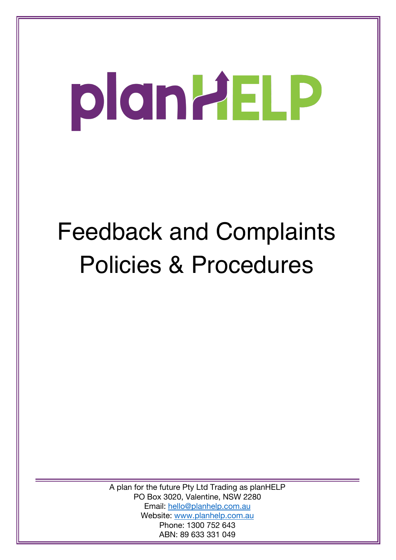# plantiELP

# Feedback and Complaints Policies & Procedures

A plan for the future Pty Ltd Trading as planHELP PO Box 3020, Valentine, NSW 2280 Email: hello@planhelp.com.au Website: www.planhelp.com.au Phone: 1300 752 643 ABN: 89 633 331 049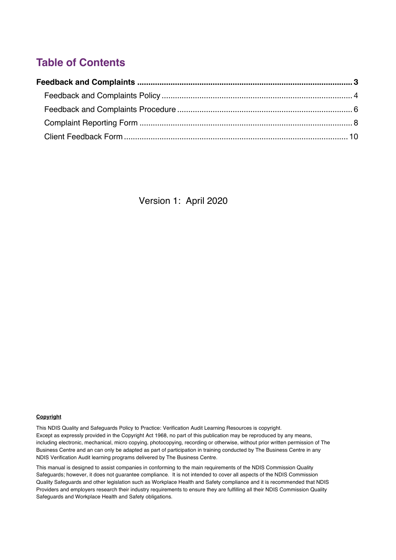# **Table of Contents**

Version 1: April 2020

#### **Copyright**

This NDIS Quality and Safeguards Policy to Practice: Verification Audit Learning Resources is copyright. Except as expressly provided in the Copyright Act 1968, no part of this publication may be reproduced by any means, including electronic, mechanical, micro copying, photocopying, recording or otherwise, without prior written permission of The Business Centre and an can only be adapted as part of participation in training conducted by The Business Centre in any NDIS Verification Audit learning programs delivered by The Business Centre.

This manual is designed to assist companies in conforming to the main requirements of the NDIS Commission Quality Safeguards; however, it does not guarantee compliance. It is not intended to cover all aspects of the NDIS Commission Quality Safeguards and other legislation such as Workplace Health and Safety compliance and it is recommended that NDIS Providers and employers research their industry requirements to ensure they are fulfilling all their NDIS Commission Quality Safeguards and Workplace Health and Safety obligations.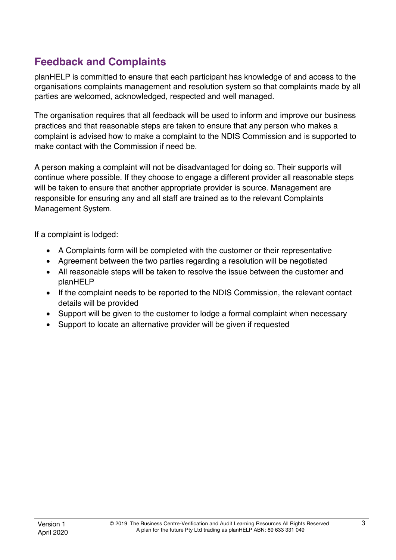# **Feedback and Complaints**

planHELP is committed to ensure that each participant has knowledge of and access to the organisations complaints management and resolution system so that complaints made by all parties are welcomed, acknowledged, respected and well managed.

The organisation requires that all feedback will be used to inform and improve our business practices and that reasonable steps are taken to ensure that any person who makes a complaint is advised how to make a complaint to the NDIS Commission and is supported to make contact with the Commission if need be.

A person making a complaint will not be disadvantaged for doing so. Their supports will continue where possible. If they choose to engage a different provider all reasonable steps will be taken to ensure that another appropriate provider is source. Management are responsible for ensuring any and all staff are trained as to the relevant Complaints Management System.

If a complaint is lodged:

- A Complaints form will be completed with the customer or their representative
- Agreement between the two parties regarding a resolution will be negotiated
- All reasonable steps will be taken to resolve the issue between the customer and planHELP
- If the complaint needs to be reported to the NDIS Commission, the relevant contact details will be provided
- Support will be given to the customer to lodge a formal complaint when necessary
- Support to locate an alternative provider will be given if requested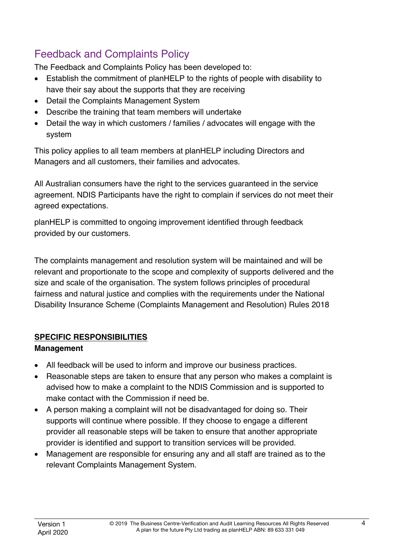# Feedback and Complaints Policy

The Feedback and Complaints Policy has been developed to:

- Establish the commitment of planHELP to the rights of people with disability to have their say about the supports that they are receiving
- Detail the Complaints Management System
- Describe the training that team members will undertake
- Detail the way in which customers / families / advocates will engage with the system

This policy applies to all team members at planHELP including Directors and Managers and all customers, their families and advocates.

All Australian consumers have the right to the services guaranteed in the service agreement. NDIS Participants have the right to complain if services do not meet their agreed expectations.

planHELP is committed to ongoing improvement identified through feedback provided by our customers.

The complaints management and resolution system will be maintained and will be relevant and proportionate to the scope and complexity of supports delivered and the size and scale of the organisation. The system follows principles of procedural fairness and natural justice and complies with the requirements under the National Disability Insurance Scheme (Complaints Management and Resolution) Rules 2018

# **SPECIFIC RESPONSIBILITIES**

# **Management**

- All feedback will be used to inform and improve our business practices.
- Reasonable steps are taken to ensure that any person who makes a complaint is advised how to make a complaint to the NDIS Commission and is supported to make contact with the Commission if need be.
- A person making a complaint will not be disadvantaged for doing so. Their supports will continue where possible. If they choose to engage a different provider all reasonable steps will be taken to ensure that another appropriate provider is identified and support to transition services will be provided.
- Management are responsible for ensuring any and all staff are trained as to the relevant Complaints Management System.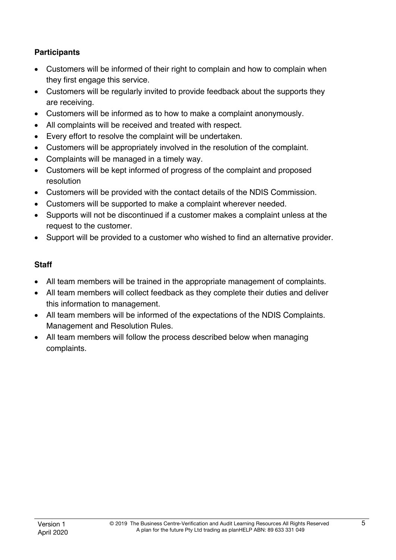#### **Participants**

- Customers will be informed of their right to complain and how to complain when they first engage this service.
- Customers will be regularly invited to provide feedback about the supports they are receiving.
- Customers will be informed as to how to make a complaint anonymously.
- All complaints will be received and treated with respect.
- Every effort to resolve the complaint will be undertaken.
- Customers will be appropriately involved in the resolution of the complaint.
- Complaints will be managed in a timely way.
- Customers will be kept informed of progress of the complaint and proposed resolution
- Customers will be provided with the contact details of the NDIS Commission.
- Customers will be supported to make a complaint wherever needed.
- Supports will not be discontinued if a customer makes a complaint unless at the request to the customer.
- Support will be provided to a customer who wished to find an alternative provider.

#### **Staff**

- All team members will be trained in the appropriate management of complaints.
- All team members will collect feedback as they complete their duties and deliver this information to management.
- All team members will be informed of the expectations of the NDIS Complaints. Management and Resolution Rules.
- All team members will follow the process described below when managing complaints.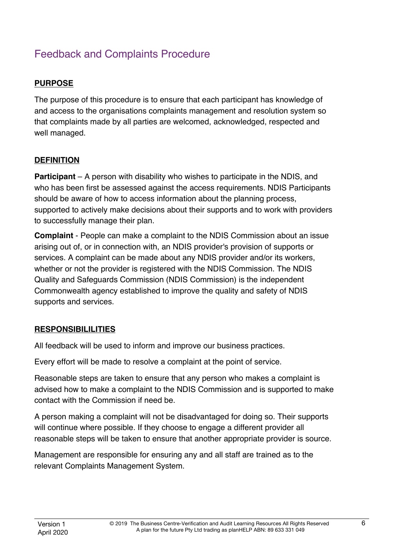# Feedback and Complaints Procedure

# **PURPOSE**

The purpose of this procedure is to ensure that each participant has knowledge of and access to the organisations complaints management and resolution system so that complaints made by all parties are welcomed, acknowledged, respected and well managed.

# **DEFINITION**

**Participant** – A person with disability who wishes to participate in the NDIS, and who has been first be assessed against the access requirements. NDIS Participants should be aware of how to access information about the planning process, supported to actively make decisions about their supports and to work with providers to successfully manage their plan.

**Complaint** - People can make a complaint to the NDIS Commission about an issue arising out of, or in connection with, an NDIS provider's provision of supports or services. A complaint can be made about any NDIS provider and/or its workers, whether or not the provider is registered with the NDIS Commission. The NDIS Quality and Safeguards Commission (NDIS Commission) is the independent Commonwealth agency established to improve the quality and safety of NDIS supports and services.

# **RESPONSIBILILITIES**

All feedback will be used to inform and improve our business practices.

Every effort will be made to resolve a complaint at the point of service.

Reasonable steps are taken to ensure that any person who makes a complaint is advised how to make a complaint to the NDIS Commission and is supported to make contact with the Commission if need be.

A person making a complaint will not be disadvantaged for doing so. Their supports will continue where possible. If they choose to engage a different provider all reasonable steps will be taken to ensure that another appropriate provider is source.

Management are responsible for ensuring any and all staff are trained as to the relevant Complaints Management System.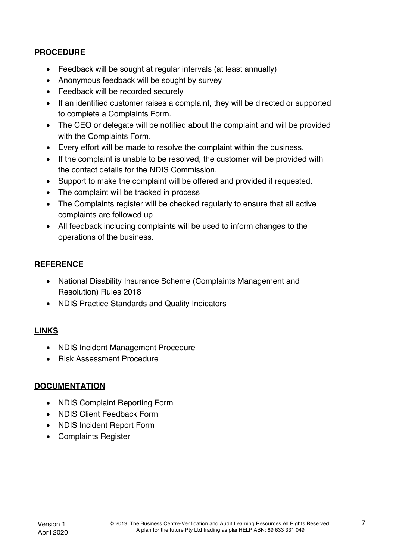#### **PROCEDURE**

- Feedback will be sought at regular intervals (at least annually)
- Anonymous feedback will be sought by survey
- Feedback will be recorded securely
- If an identified customer raises a complaint, they will be directed or supported to complete a Complaints Form.
- The CEO or delegate will be notified about the complaint and will be provided with the Complaints Form.
- Every effort will be made to resolve the complaint within the business.
- If the complaint is unable to be resolved, the customer will be provided with the contact details for the NDIS Commission.
- Support to make the complaint will be offered and provided if requested.
- The complaint will be tracked in process
- The Complaints register will be checked regularly to ensure that all active complaints are followed up
- All feedback including complaints will be used to inform changes to the operations of the business.

# **REFERENCE**

- National Disability Insurance Scheme (Complaints Management and Resolution) Rules 2018
- NDIS Practice Standards and Quality Indicators

# **LINKS**

- NDIS Incident Management Procedure
- Risk Assessment Procedure

#### **DOCUMENTATION**

- NDIS Complaint Reporting Form
- NDIS Client Feedback Form
- NDIS Incident Report Form
- Complaints Register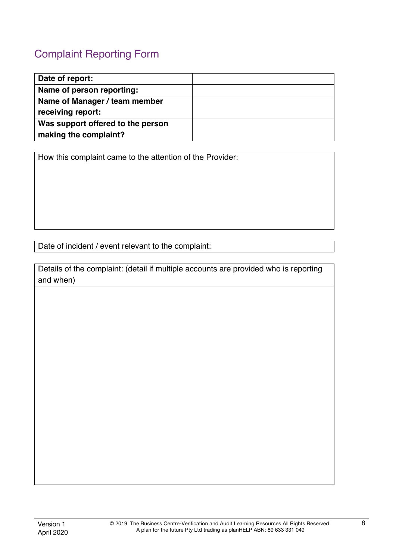# Complaint Reporting Form

| Date of report:                   |  |
|-----------------------------------|--|
| Name of person reporting:         |  |
| Name of Manager / team member     |  |
| receiving report:                 |  |
| Was support offered to the person |  |
| making the complaint?             |  |

How this complaint came to the attention of the Provider:

Date of incident / event relevant to the complaint:

Details of the complaint: (detail if multiple accounts are provided who is reporting and when)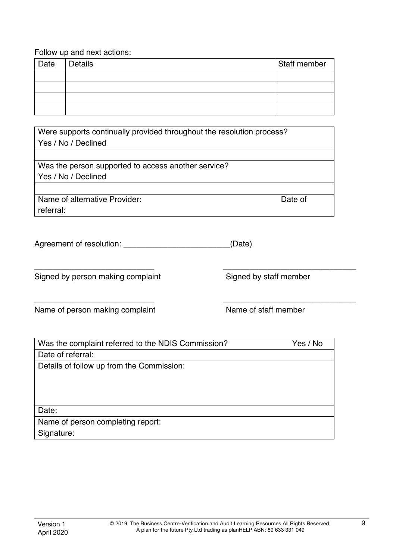| Date | <b>Details</b> | Staff member |
|------|----------------|--------------|
|      |                |              |
|      |                |              |
|      |                |              |
|      |                |              |

Were supports continually provided throughout the resolution process? Yes / No / Declined

Was the person supported to access another service? Yes / No / Declined

Name of alternative Provider: Name of alternative Provider: referral:

| Agreement of resolution: | (Date) |
|--------------------------|--------|
|                          |        |

Signed by person making complaint Signed by staff member

Name of person making complaint Name of staff member

| Was the complaint referred to the NDIS Commission? | Yes / No |
|----------------------------------------------------|----------|
| Date of referral:                                  |          |
| Details of follow up from the Commission:          |          |
|                                                    |          |
|                                                    |          |
|                                                    |          |
| Date:                                              |          |
| Name of person completing report:                  |          |
| Signature:                                         |          |

\_\_\_\_\_\_\_\_\_\_\_\_\_\_\_\_\_\_\_\_\_\_\_\_\_\_\_ \_\_\_\_\_\_\_\_\_\_\_\_\_\_\_\_\_\_\_\_\_\_\_\_\_\_\_\_\_\_

\_\_\_\_\_\_\_\_\_\_\_\_\_\_\_\_\_\_\_\_\_\_\_\_\_\_\_ \_\_\_\_\_\_\_\_\_\_\_\_\_\_\_\_\_\_\_\_\_\_\_\_\_\_\_\_\_\_